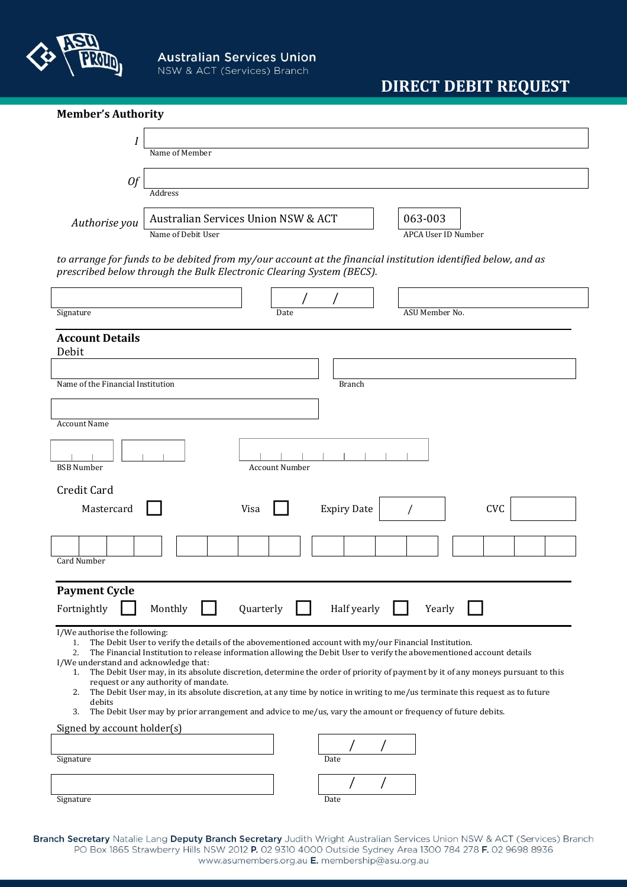

## **DIRECT DEBIT REQUEST**

| <b>Member's Authority</b>                                                                                      |                                                                                                                                                                                                                                                                                                                                                                                                                                                                                                                                                                                                                                                           |                    |                                       |     |
|----------------------------------------------------------------------------------------------------------------|-----------------------------------------------------------------------------------------------------------------------------------------------------------------------------------------------------------------------------------------------------------------------------------------------------------------------------------------------------------------------------------------------------------------------------------------------------------------------------------------------------------------------------------------------------------------------------------------------------------------------------------------------------------|--------------------|---------------------------------------|-----|
| Ι                                                                                                              | Name of Member                                                                                                                                                                                                                                                                                                                                                                                                                                                                                                                                                                                                                                            |                    |                                       |     |
| 0f                                                                                                             |                                                                                                                                                                                                                                                                                                                                                                                                                                                                                                                                                                                                                                                           |                    |                                       |     |
|                                                                                                                | Address                                                                                                                                                                                                                                                                                                                                                                                                                                                                                                                                                                                                                                                   |                    |                                       |     |
| Authorise you                                                                                                  | Australian Services Union NSW & ACT<br>Name of Debit User                                                                                                                                                                                                                                                                                                                                                                                                                                                                                                                                                                                                 |                    | 063-003<br><b>APCA User ID Number</b> |     |
|                                                                                                                | to arrange for funds to be debited from my/our account at the financial institution identified below, and as<br>prescribed below through the Bulk Electronic Clearing System (BECS).                                                                                                                                                                                                                                                                                                                                                                                                                                                                      |                    |                                       |     |
| Signature                                                                                                      | Date                                                                                                                                                                                                                                                                                                                                                                                                                                                                                                                                                                                                                                                      |                    | ASU Member No.                        |     |
| <b>Account Details</b><br>Debit                                                                                |                                                                                                                                                                                                                                                                                                                                                                                                                                                                                                                                                                                                                                                           |                    |                                       |     |
| Name of the Financial Institution                                                                              |                                                                                                                                                                                                                                                                                                                                                                                                                                                                                                                                                                                                                                                           | <b>Branch</b>      |                                       |     |
| <b>Account Name</b>                                                                                            |                                                                                                                                                                                                                                                                                                                                                                                                                                                                                                                                                                                                                                                           |                    |                                       |     |
| <b>BSB Number</b><br><b>Account Number</b>                                                                     |                                                                                                                                                                                                                                                                                                                                                                                                                                                                                                                                                                                                                                                           |                    |                                       |     |
| Credit Card                                                                                                    |                                                                                                                                                                                                                                                                                                                                                                                                                                                                                                                                                                                                                                                           |                    |                                       |     |
| Mastercard                                                                                                     | Visa                                                                                                                                                                                                                                                                                                                                                                                                                                                                                                                                                                                                                                                      | <b>Expiry Date</b> |                                       | CVC |
| Card Number                                                                                                    |                                                                                                                                                                                                                                                                                                                                                                                                                                                                                                                                                                                                                                                           |                    |                                       |     |
| <b>Payment Cycle</b><br>Monthly<br>Quarterly<br>Half yearly<br>Fortnightly<br>Yearly                           |                                                                                                                                                                                                                                                                                                                                                                                                                                                                                                                                                                                                                                                           |                    |                                       |     |
| I/We authorise the following:<br>1.<br>2.<br>I/We understand and acknowledge that:<br>1.<br>2.<br>debits<br>3. | The Debit User to verify the details of the abovementioned account with my/our Financial Institution.<br>The Financial Institution to release information allowing the Debit User to verify the abovementioned account details<br>The Debit User may, in its absolute discretion, determine the order of priority of payment by it of any moneys pursuant to this<br>request or any authority of mandate.<br>The Debit User may, in its absolute discretion, at any time by notice in writing to me/us terminate this request as to future<br>The Debit User may by prior arrangement and advice to me/us, vary the amount or frequency of future debits. |                    |                                       |     |
| Signed by account holder(s)                                                                                    |                                                                                                                                                                                                                                                                                                                                                                                                                                                                                                                                                                                                                                                           |                    |                                       |     |
| Signature                                                                                                      |                                                                                                                                                                                                                                                                                                                                                                                                                                                                                                                                                                                                                                                           | Date               |                                       |     |
|                                                                                                                |                                                                                                                                                                                                                                                                                                                                                                                                                                                                                                                                                                                                                                                           |                    |                                       |     |
| Signature                                                                                                      |                                                                                                                                                                                                                                                                                                                                                                                                                                                                                                                                                                                                                                                           | Date               |                                       |     |

Branch Secretary Natalie Lang Deputy Branch Secretary Judith Wright Australian Services Union NSW & ACT (Services) Branch PO Box 1865 Strawberry Hills NSW 2012 P. 02 9310 4000 Outside Sydney Area 1300 784 278 F. 02 9698 8936 www.asumembers.org.au E. membership@asu.org.au